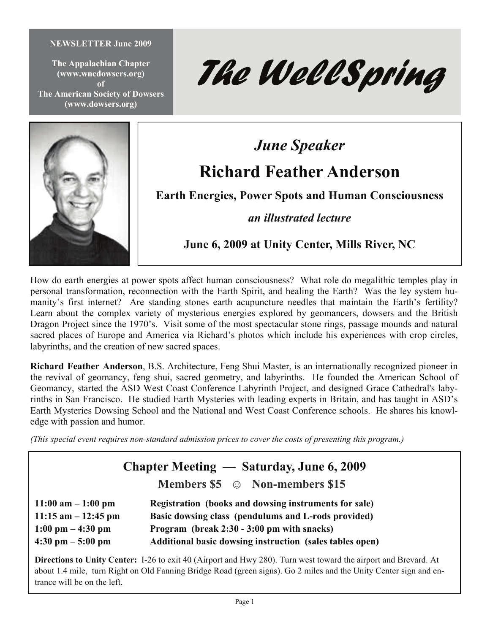#### **NEWSLETTER June 2009**

**The Appalachian Chapter (www.wncdowsers.org) of The American Society of Dowsers (www.dowsers.org)** 





# *June Speaker*  **Richard Feather Anderson**

**Earth Energies, Power Spots and Human Consciousness** 

*an illustrated lecture* 

**June 6, 2009 at Unity Center, Mills River, NC** 

How do earth energies at power spots affect human consciousness? What role do megalithic temples play in personal transformation, reconnection with the Earth Spirit, and healing the Earth? Was the ley system humanity's first internet? Are standing stones earth acupuncture needles that maintain the Earth's fertility? Learn about the complex variety of mysterious energies explored by geomancers, dowsers and the British Dragon Project since the 1970's. Visit some of the most spectacular stone rings, passage mounds and natural sacred places of Europe and America via Richard's photos which include his experiences with crop circles, labyrinths, and the creation of new sacred spaces.

**Richard Feather Anderson**, B.S. Architecture, Feng Shui Master, is an internationally recognized pioneer in the revival of geomancy, feng shui, sacred geometry, and labyrinths. He founded the American School of Geomancy, started the ASD West Coast Conference Labyrinth Project, and designed Grace Cathedral's labyrinths in San Francisco. He studied Earth Mysteries with leading experts in Britain, and has taught in ASD's Earth Mysteries Dowsing School and the National and West Coast Conference schools. He shares his knowledge with passion and humor.

*(This special event requires non-standard admission prices to cover the costs of presenting this program.)* 

**Chapter Meeting — Saturday, June 6, 2009** 

**Members \$5 ☺ Non-members \$15** 

**11:00 am – 1:00 pm Registration (books and dowsing instruments for sale) 11:15 am – 12:45 pm Basic dowsing class (pendulums and L-rods provided) 1:00 pm – 4:30 pm Program (break 2:30 - 3:00 pm with snacks) 4:30 pm – 5:00 pm Additional basic dowsing instruction (sales tables open)** 

**Directions to Unity Center:** I-26 to exit 40 (Airport and Hwy 280). Turn west toward the airport and Brevard. At about 1.4 mile, turn Right on Old Fanning Bridge Road (green signs). Go 2 miles and the Unity Center sign and entrance will be on the left.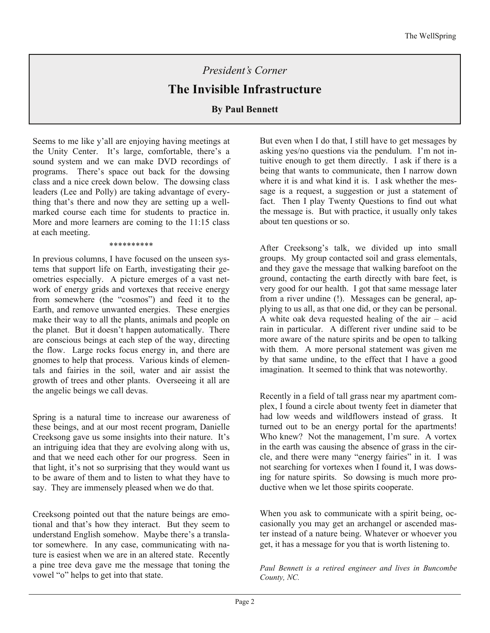# *President's Corner*

## **The Invisible Infrastructure**

## **By Paul Bennett**

Seems to me like y'all are enjoying having meetings at the Unity Center. It's large, comfortable, there's a sound system and we can make DVD recordings of programs. There's space out back for the dowsing class and a nice creek down below. The dowsing class leaders (Lee and Polly) are taking advantage of everything that's there and now they are setting up a wellmarked course each time for students to practice in. More and more learners are coming to the 11:15 class at each meeting.

\*\*\*\*\*\*\*\*\*\*

In previous columns, I have focused on the unseen systems that support life on Earth, investigating their geometries especially. A picture emerges of a vast network of energy grids and vortexes that receive energy from somewhere (the "cosmos") and feed it to the Earth, and remove unwanted energies. These energies make their way to all the plants, animals and people on the planet. But it doesn't happen automatically. There are conscious beings at each step of the way, directing the flow. Large rocks focus energy in, and there are gnomes to help that process. Various kinds of elementals and fairies in the soil, water and air assist the growth of trees and other plants. Overseeing it all are the angelic beings we call devas.

Spring is a natural time to increase our awareness of these beings, and at our most recent program, Danielle Creeksong gave us some insights into their nature. It's an intriguing idea that they are evolving along with us, and that we need each other for our progress. Seen in that light, it's not so surprising that they would want us to be aware of them and to listen to what they have to say. They are immensely pleased when we do that.

Creeksong pointed out that the nature beings are emotional and that's how they interact. But they seem to understand English somehow. Maybe there's a translator somewhere. In any case, communicating with nature is easiest when we are in an altered state. Recently a pine tree deva gave me the message that toning the vowel "o" helps to get into that state.

But even when I do that, I still have to get messages by asking yes/no questions via the pendulum. I'm not intuitive enough to get them directly. I ask if there is a being that wants to communicate, then I narrow down where it is and what kind it is. I ask whether the message is a request, a suggestion or just a statement of fact. Then I play Twenty Questions to find out what the message is. But with practice, it usually only takes about ten questions or so.

After Creeksong's talk, we divided up into small groups. My group contacted soil and grass elementals, and they gave the message that walking barefoot on the ground, contacting the earth directly with bare feet, is very good for our health. I got that same message later from a river undine (!). Messages can be general, applying to us all, as that one did, or they can be personal. A white oak deva requested healing of the air – acid rain in particular. A different river undine said to be more aware of the nature spirits and be open to talking with them. A more personal statement was given me by that same undine, to the effect that I have a good imagination. It seemed to think that was noteworthy.

Recently in a field of tall grass near my apartment complex, I found a circle about twenty feet in diameter that had low weeds and wildflowers instead of grass. It turned out to be an energy portal for the apartments! Who knew? Not the management, I'm sure. A vortex in the earth was causing the absence of grass in the circle, and there were many "energy fairies" in it. I was not searching for vortexes when I found it, I was dowsing for nature spirits. So dowsing is much more productive when we let those spirits cooperate.

When you ask to communicate with a spirit being, occasionally you may get an archangel or ascended master instead of a nature being. Whatever or whoever you get, it has a message for you that is worth listening to.

*Paul Bennett is a retired engineer and lives in Buncombe County, NC.*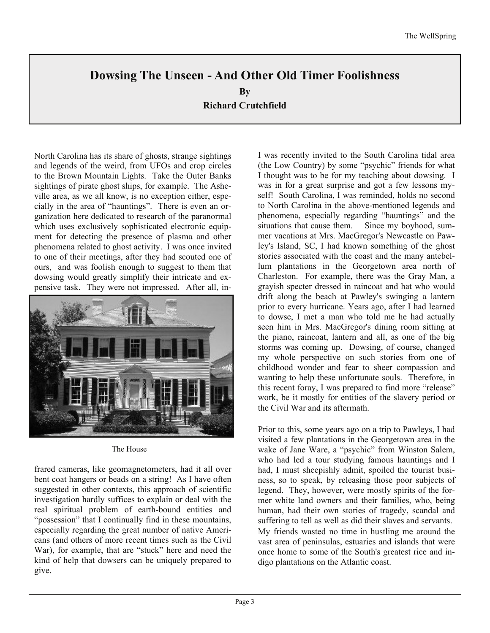## **Dowsing The Unseen - And Other Old Timer Foolishness**

**By** 

**Richard Crutchfield** 

North Carolina has its share of ghosts, strange sightings and legends of the weird, from UFOs and crop circles to the Brown Mountain Lights. Take the Outer Banks sightings of pirate ghost ships, for example. The Asheville area, as we all know, is no exception either, especially in the area of "hauntings". There is even an organization here dedicated to research of the paranormal which uses exclusively sophisticated electronic equipment for detecting the presence of plasma and other phenomena related to ghost activity. I was once invited to one of their meetings, after they had scouted one of ours, and was foolish enough to suggest to them that dowsing would greatly simplify their intricate and expensive task. They were not impressed. After all, in-



The House

frared cameras, like geomagnetometers, had it all over bent coat hangers or beads on a string! As I have often suggested in other contexts, this approach of scientific investigation hardly suffices to explain or deal with the real spiritual problem of earth-bound entities and "possession" that I continually find in these mountains, especially regarding the great number of native Americans (and others of more recent times such as the Civil War), for example, that are "stuck" here and need the kind of help that dowsers can be uniquely prepared to give.

I was recently invited to the South Carolina tidal area (the Low Country) by some "psychic" friends for what I thought was to be for my teaching about dowsing. I was in for a great surprise and got a few lessons myself! South Carolina, I was reminded, holds no second to North Carolina in the above-mentioned legends and phenomena, especially regarding "hauntings" and the situations that cause them. Since my boyhood, summer vacations at Mrs. MacGregor's Newcastle on Pawley's Island, SC, I had known something of the ghost stories associated with the coast and the many antebellum plantations in the Georgetown area north of Charleston. For example, there was the Gray Man, a grayish specter dressed in raincoat and hat who would drift along the beach at Pawley's swinging a lantern prior to every hurricane. Years ago, after I had learned to dowse, I met a man who told me he had actually seen him in Mrs. MacGregor's dining room sitting at the piano, raincoat, lantern and all, as one of the big storms was coming up. Dowsing, of course, changed my whole perspective on such stories from one of childhood wonder and fear to sheer compassion and wanting to help these unfortunate souls. Therefore, in this recent foray, I was prepared to find more "release" work, be it mostly for entities of the slavery period or the Civil War and its aftermath.

Prior to this, some years ago on a trip to Pawleys, I had visited a few plantations in the Georgetown area in the wake of Jane Ware, a "psychic" from Winston Salem, who had led a tour studying famous hauntings and I had, I must sheepishly admit, spoiled the tourist business, so to speak, by releasing those poor subjects of legend. They, however, were mostly spirits of the former white land owners and their families, who, being human, had their own stories of tragedy, scandal and suffering to tell as well as did their slaves and servants. My friends wasted no time in hustling me around the vast area of peninsulas, estuaries and islands that were once home to some of the South's greatest rice and indigo plantations on the Atlantic coast.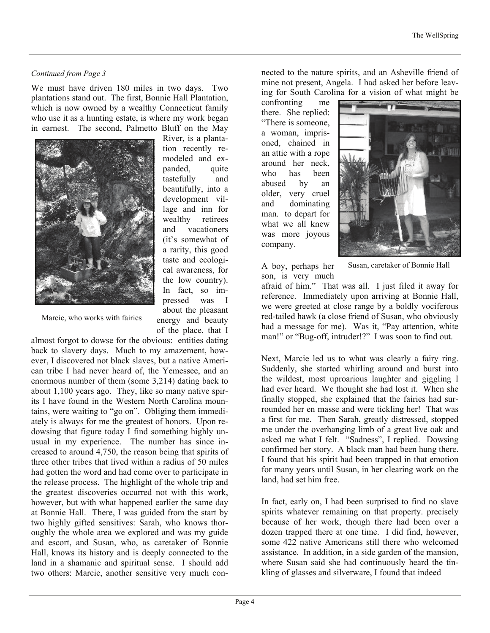### *Continued from Page 3*

We must have driven 180 miles in two days. Two plantations stand out. The first, Bonnie Hall Plantation, which is now owned by a wealthy Connecticut family who use it as a hunting estate, is where my work began in earnest. The second, Palmetto Bluff on the May



River, is a plantation recently remodeled and expanded, quite tastefully and beautifully, into a development village and inn for wealthy retirees and vacationers (it's somewhat of a rarity, this good taste and ecological awareness, for the low country). In fact, so impressed was I about the pleasant energy and beauty of the place, that I

Marcie, who works with fairies

almost forgot to dowse for the obvious: entities dating back to slavery days. Much to my amazement, however, I discovered not black slaves, but a native American tribe I had never heard of, the Yemessee, and an enormous number of them (some 3,214) dating back to about 1,100 years ago. They, like so many native spirits I have found in the Western North Carolina mountains, were waiting to "go on". Obliging them immediately is always for me the greatest of honors. Upon redowsing that figure today I find something highly unusual in my experience. The number has since increased to around 4,750, the reason being that spirits of three other tribes that lived within a radius of 50 miles had gotten the word and had come over to participate in the release process. The highlight of the whole trip and the greatest discoveries occurred not with this work, however, but with what happened earlier the same day at Bonnie Hall. There, I was guided from the start by two highly gifted sensitives: Sarah, who knows thoroughly the whole area we explored and was my guide and escort, and Susan, who, as caretaker of Bonnie Hall, knows its history and is deeply connected to the land in a shamanic and spiritual sense. I should add two others: Marcie, another sensitive very much connected to the nature spirits, and an Asheville friend of mine not present, Angela. I had asked her before leaving for South Carolina for a vision of what might be

confronting me there. She replied: "There is someone, a woman, imprisoned, chained in an attic with a rope around her neck, who has been abused by an older, very cruel and dominating man. to depart for what we all knew was more joyous company.



A boy, perhaps her son, is very much

Susan, caretaker of Bonnie Hall

afraid of him." That was all. I just filed it away for reference. Immediately upon arriving at Bonnie Hall, we were greeted at close range by a boldly vociferous red-tailed hawk (a close friend of Susan, who obviously had a message for me). Was it, "Pay attention, white man!" or "Bug-off, intruder!?" I was soon to find out.

Next, Marcie led us to what was clearly a fairy ring. Suddenly, she started whirling around and burst into the wildest, most uproarious laughter and giggling I had ever heard. We thought she had lost it. When she finally stopped, she explained that the fairies had surrounded her en masse and were tickling her! That was a first for me. Then Sarah, greatly distressed, stopped me under the overhanging limb of a great live oak and asked me what I felt. "Sadness", I replied. Dowsing confirmed her story. A black man had been hung there. I found that his spirit had been trapped in that emotion for many years until Susan, in her clearing work on the land, had set him free.

In fact, early on, I had been surprised to find no slave spirits whatever remaining on that property. precisely because of her work, though there had been over a dozen trapped there at one time. I did find, however, some 422 native Americans still there who welcomed assistance. In addition, in a side garden of the mansion, where Susan said she had continuously heard the tinkling of glasses and silverware, I found that indeed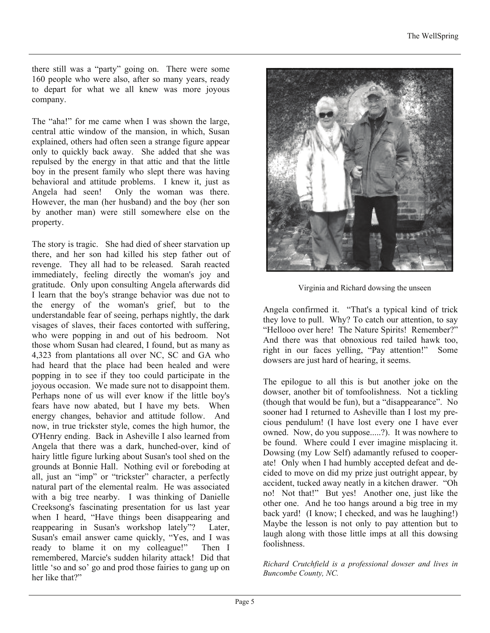there still was a "party" going on. There were some 160 people who were also, after so many years, ready to depart for what we all knew was more joyous company.

The "aha!" for me came when I was shown the large, central attic window of the mansion, in which, Susan explained, others had often seen a strange figure appear only to quickly back away. She added that she was repulsed by the energy in that attic and that the little boy in the present family who slept there was having behavioral and attitude problems. I knew it, just as Angela had seen! Only the woman was there. However, the man (her husband) and the boy (her son by another man) were still somewhere else on the property.

The story is tragic. She had died of sheer starvation up there, and her son had killed his step father out of revenge. They all had to be released. Sarah reacted immediately, feeling directly the woman's joy and gratitude. Only upon consulting Angela afterwards did I learn that the boy's strange behavior was due not to the energy of the woman's grief, but to the understandable fear of seeing, perhaps nightly, the dark visages of slaves, their faces contorted with suffering, who were popping in and out of his bedroom. Not those whom Susan had cleared, I found, but as many as 4,323 from plantations all over NC, SC and GA who had heard that the place had been healed and were popping in to see if they too could participate in the joyous occasion. We made sure not to disappoint them. Perhaps none of us will ever know if the little boy's fears have now abated, but I have my bets. When energy changes, behavior and attitude follow. And now, in true trickster style, comes the high humor, the O'Henry ending. Back in Asheville I also learned from Angela that there was a dark, hunched-over, kind of hairy little figure lurking about Susan's tool shed on the grounds at Bonnie Hall. Nothing evil or foreboding at all, just an "imp" or "trickster" character, a perfectly natural part of the elemental realm. He was associated with a big tree nearby. I was thinking of Danielle Creeksong's fascinating presentation for us last year when I heard, "Have things been disappearing and reappearing in Susan's workshop lately"? Later, Susan's email answer came quickly, "Yes, and I was ready to blame it on my colleague!" Then I remembered, Marcie's sudden hilarity attack! Did that little 'so and so' go and prod those fairies to gang up on her like that?"



Virginia and Richard dowsing the unseen

Angela confirmed it. "That's a typical kind of trick they love to pull. Why? To catch our attention, to say "Hellooo over here! The Nature Spirits! Remember?" And there was that obnoxious red tailed hawk too, right in our faces yelling, "Pay attention!" Some dowsers are just hard of hearing, it seems.

The epilogue to all this is but another joke on the dowser, another bit of tomfoolishness. Not a tickling (though that would be fun), but a "disappearance". No sooner had I returned to Asheville than I lost my precious pendulum! (I have lost every one I have ever owned. Now, do you suppose.....?). It was nowhere to be found. Where could I ever imagine misplacing it. Dowsing (my Low Self) adamantly refused to cooperate! Only when I had humbly accepted defeat and decided to move on did my prize just outright appear, by accident, tucked away neatly in a kitchen drawer. "Oh no! Not that!" But yes! Another one, just like the other one. And he too hangs around a big tree in my back yard! (I know; I checked, and was he laughing!) Maybe the lesson is not only to pay attention but to laugh along with those little imps at all this dowsing foolishness.

*Richard Crutchfield is a professional dowser and lives in Buncombe County, NC.*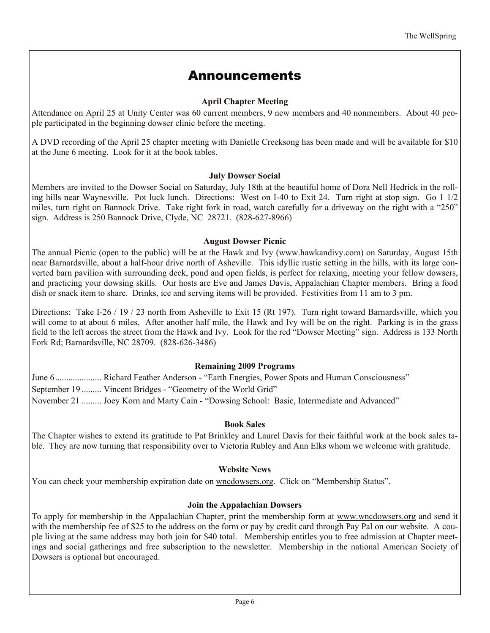## Announcements

## **April Chapter Meeting**

Attendance on April 25 at Unity Center was 60 current members, 9 new members and 40 nonmembers. About 40 people participated in the beginning dowser clinic before the meeting.

A DVD recording of the April 25 chapter meeting with Danielle Creeksong has been made and will be available for \$10 at the June 6 meeting. Look for it at the book tables.

## **July Dowser Social**

Members are invited to the Dowser Social on Saturday, July 18th at the beautiful home of Dora Nell Hedrick in the rolling hills near Waynesville. Pot luck lunch. Directions: West on I-40 to Exit 24. Turn right at stop sign. Go 1 1/2 miles, turn right on Bannock Drive. Take right fork in road, watch carefully for a driveway on the right with a "250" sign. Address is 250 Bannock Drive, Clyde, NC 28721. (828-627-8966)

### **August Dowser Picnic**

The annual Picnic (open to the public) will be at the Hawk and Ivy (www.hawkandivy.com) on Saturday, August 15th near Barnardsville, about a half-hour drive north of Asheville. This idyllic rustic setting in the hills, with its large converted barn pavilion with surrounding deck, pond and open fields, is perfect for relaxing, meeting your fellow dowsers, and practicing your dowsing skills. Our hosts are Eve and James Davis, Appalachian Chapter members. Bring a food dish or snack item to share. Drinks, ice and serving items will be provided. Festivities from 11 am to 3 pm.

Directions: Take I-26 / 19 / 23 north from Asheville to Exit 15 (Rt 197). Turn right toward Barnardsville, which you will come to at about 6 miles. After another half mile, the Hawk and Ivy will be on the right. Parking is in the grass field to the left across the street from the Hawk and Ivy. Look for the red "Dowser Meeting" sign. Address is 133 North Fork Rd; Barnardsville, NC 28709. (828-626-3486)

### **Remaining 2009 Programs**

June 6..................... Richard Feather Anderson - "Earth Energies, Power Spots and Human Consciousness" September 19 ......... Vincent Bridges - "Geometry of the World Grid" November 21 ......... Joey Korn and Marty Cain - "Dowsing School: Basic, Intermediate and Advanced"

## **Book Sales**

The Chapter wishes to extend its gratitude to Pat Brinkley and Laurel Davis for their faithful work at the book sales table. They are now turning that responsibility over to Victoria Rubley and Ann Elks whom we welcome with gratitude.

### **Website News**

You can check your membership expiration date on wncdowsers.org. Click on "Membership Status".

### **Join the Appalachian Dowsers**

To apply for membership in the Appalachian Chapter, print the membership form at www.wncdowsers.org and send it with the membership fee of \$25 to the address on the form or pay by credit card through Pay Pal on our website. A couple living at the same address may both join for \$40 total. Membership entitles you to free admission at Chapter meetings and social gatherings and free subscription to the newsletter. Membership in the national American Society of Dowsers is optional but encouraged.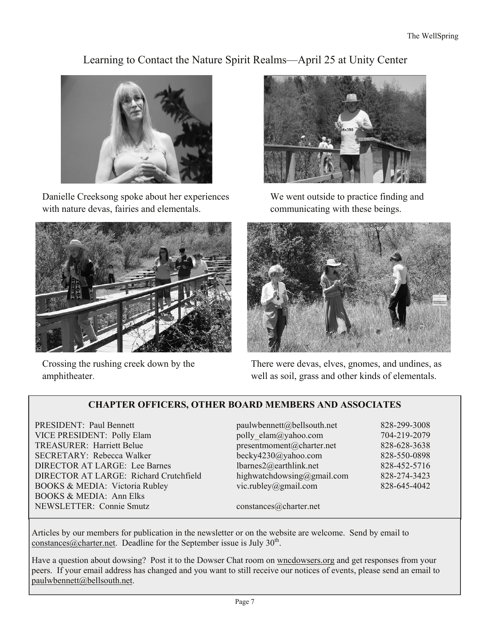## Learning to Contact the Nature Spirit Realms—April 25 at Unity Center



Danielle Creeksong spoke about her experiences with nature devas, fairies and elementals.



Crossing the rushing creek down by the amphitheater.



We went outside to practice finding and communicating with these beings.



There were devas, elves, gnomes, and undines, as well as soil, grass and other kinds of elementals.

## **CHAPTER OFFICERS, OTHER BOARD MEMBERS AND ASSOCIATES**

PRESIDENT: Paul Bennett paulwbennett@bellsouth.net 828-299-3008 VICE PRESIDENT: Polly Elam polly elam@yahoo.com 704-219-2079 TREASURER: Harriett Belue presentmoment@charter.net 828-628-3638 SECRETARY: Rebecca Walker becky4230@yahoo.com 828-550-0898 DIRECTOR AT LARGE: Lee Barnes lbarnes2@earthlink.net 828-452-5716 DIRECTOR AT LARGE: Richard Crutchfield highwatchdowsing@gmail.com 828-274-3423 BOOKS & MEDIA: Victoria Rubley vic.rubley@gmail.com 828-645-4042 BOOKS & MEDIA: Ann Elks NEWSLETTER: Connie Smutz constances@charter.net

Articles by our members for publication in the newsletter or on the website are welcome. Send by email to constances  $\omega$  charter net. Deadline for the September issue is July 30<sup>th</sup>.

Have a question about dowsing? Post it to the Dowser Chat room on wncdowsers.org and get responses from your peers. If your email address has changed and you want to still receive our notices of events, please send an email to paulwbennett@bellsouth.net.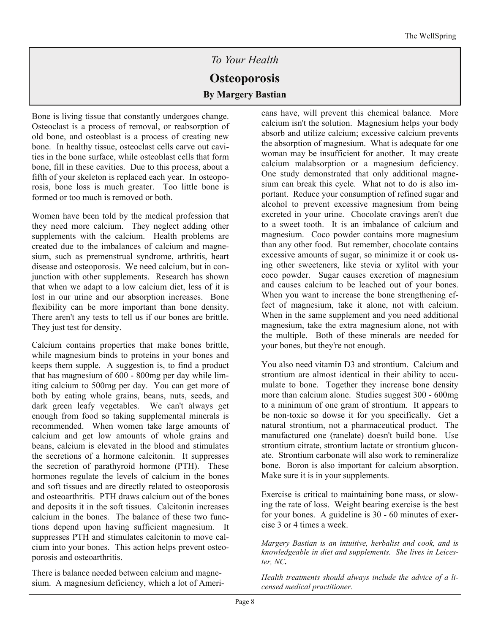# *To Your Health*  **Osteoporosis By Margery Bastian**

Bone is living tissue that constantly undergoes change. Osteoclast is a process of removal, or reabsorption of old bone, and osteoblast is a process of creating new bone. In healthy tissue, osteoclast cells carve out cavities in the bone surface, while osteoblast cells that form bone, fill in these cavities. Due to this process, about a fifth of your skeleton is replaced each year. In osteoporosis, bone loss is much greater. Too little bone is formed or too much is removed or both.

Women have been told by the medical profession that they need more calcium. They neglect adding other supplements with the calcium. Health problems are created due to the imbalances of calcium and magnesium, such as premenstrual syndrome, arthritis, heart disease and osteoporosis. We need calcium, but in conjunction with other supplements. Research has shown that when we adapt to a low calcium diet, less of it is lost in our urine and our absorption increases. Bone flexibility can be more important than bone density. There aren't any tests to tell us if our bones are brittle. They just test for density.

Calcium contains properties that make bones brittle, while magnesium binds to proteins in your bones and keeps them supple. A suggestion is, to find a product that has magnesium of 600 - 800mg per day while limiting calcium to 500mg per day. You can get more of both by eating whole grains, beans, nuts, seeds, and dark green leafy vegetables. We can't always get enough from food so taking supplemental minerals is recommended. When women take large amounts of calcium and get low amounts of whole grains and beans, calcium is elevated in the blood and stimulates the secretions of a hormone calcitonin. It suppresses the secretion of parathyroid hormone (PTH). These hormones regulate the levels of calcium in the bones and soft tissues and are directly related to osteoporosis and osteoarthritis. PTH draws calcium out of the bones and deposits it in the soft tissues. Calcitonin increases calcium in the bones. The balance of these two functions depend upon having sufficient magnesium. It suppresses PTH and stimulates calcitonin to move calcium into your bones. This action helps prevent osteoporosis and osteoarthritis.

There is balance needed between calcium and magnesium. A magnesium deficiency, which a lot of Americans have, will prevent this chemical balance. More calcium isn't the solution. Magnesium helps your body absorb and utilize calcium; excessive calcium prevents the absorption of magnesium. What is adequate for one woman may be insufficient for another. It may create calcium malabsorption or a magnesium deficiency. One study demonstrated that only additional magnesium can break this cycle. What not to do is also important. Reduce your consumption of refined sugar and alcohol to prevent excessive magnesium from being excreted in your urine. Chocolate cravings aren't due to a sweet tooth. It is an imbalance of calcium and magnesium. Coco powder contains more magnesium than any other food. But remember, chocolate contains excessive amounts of sugar, so minimize it or cook using other sweeteners, like stevia or xylitol with your coco powder. Sugar causes excretion of magnesium and causes calcium to be leached out of your bones. When you want to increase the bone strengthening effect of magnesium, take it alone, not with calcium. When in the same supplement and you need additional magnesium, take the extra magnesium alone, not with the multiple. Both of these minerals are needed for your bones, but they're not enough.

You also need vitamin D3 and strontium. Calcium and strontium are almost identical in their ability to accumulate to bone. Together they increase bone density more than calcium alone. Studies suggest 300 - 600mg to a minimum of one gram of strontium. It appears to be non-toxic so dowse it for you specifically. Get a natural strontium, not a pharmaceutical product. The manufactured one (ranelate) doesn't build bone. Use strontium citrate, strontium lactate or strontium gluconate. Strontium carbonate will also work to remineralize bone. Boron is also important for calcium absorption. Make sure it is in your supplements.

Exercise is critical to maintaining bone mass, or slowing the rate of loss. Weight bearing exercise is the best for your bones. A guideline is 30 - 60 minutes of exercise 3 or 4 times a week.

*Margery Bastian is an intuitive, herbalist and cook, and is knowledgeable in diet and supplements. She lives in Leicester, NC.* 

*Health treatments should always include the advice of a licensed medical practitioner.*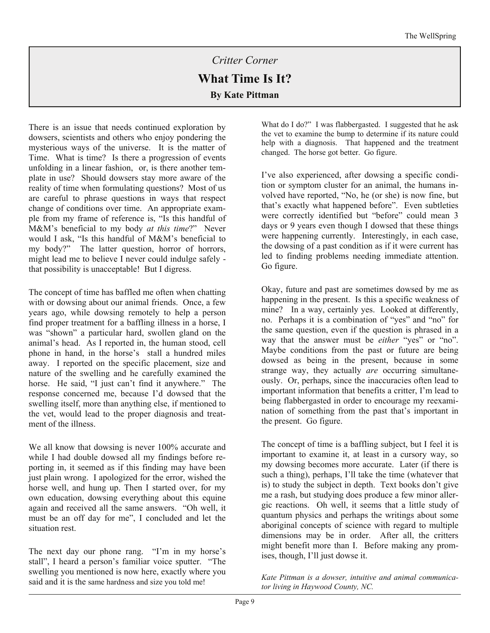# *Critter Corner*  **What Time Is It? By Kate Pittman**

There is an issue that needs continued exploration by dowsers, scientists and others who enjoy pondering the mysterious ways of the universe. It is the matter of Time. What is time? Is there a progression of events unfolding in a linear fashion, or, is there another template in use? Should dowsers stay more aware of the reality of time when formulating questions? Most of us are careful to phrase questions in ways that respect change of conditions over time. An appropriate example from my frame of reference is, "Is this handful of M&M's beneficial to my body *at this time*?" Never would I ask, "Is this handful of M&M's beneficial to my body?" The latter question, horror of horrors, might lead me to believe I never could indulge safely that possibility is unacceptable! But I digress.

The concept of time has baffled me often when chatting with or dowsing about our animal friends. Once, a few years ago, while dowsing remotely to help a person find proper treatment for a baffling illness in a horse, I was "shown" a particular hard, swollen gland on the animal's head. As I reported in, the human stood, cell phone in hand, in the horse's stall a hundred miles away. I reported on the specific placement, size and nature of the swelling and he carefully examined the horse. He said, "I just can't find it anywhere." The response concerned me, because I'd dowsed that the swelling itself, more than anything else, if mentioned to the vet, would lead to the proper diagnosis and treatment of the illness.

We all know that dowsing is never 100% accurate and while I had double dowsed all my findings before reporting in, it seemed as if this finding may have been just plain wrong. I apologized for the error, wished the horse well, and hung up. Then I started over, for my own education, dowsing everything about this equine again and received all the same answers. "Oh well, it must be an off day for me", I concluded and let the situation rest.

The next day our phone rang. "I'm in my horse's stall", I heard a person's familiar voice sputter. "The swelling you mentioned is now here, exactly where you said and it is the same hardness and size you told me!

What do I do?" I was flabbergasted. I suggested that he ask the vet to examine the bump to determine if its nature could help with a diagnosis. That happened and the treatment changed. The horse got better. Go figure.

I've also experienced, after dowsing a specific condition or symptom cluster for an animal, the humans involved have reported, "No, he (or she) is now fine, but that's exactly what happened before". Even subtleties were correctly identified but "before" could mean 3 days or 9 years even though I dowsed that these things were happening currently. Interestingly, in each case, the dowsing of a past condition as if it were current has led to finding problems needing immediate attention. Go figure.

Okay, future and past are sometimes dowsed by me as happening in the present. Is this a specific weakness of mine? In a way, certainly yes. Looked at differently, no. Perhaps it is a combination of "yes" and "no" for the same question, even if the question is phrased in a way that the answer must be *either* "yes" or "no". Maybe conditions from the past or future are being dowsed as being in the present, because in some strange way, they actually *are* occurring simultaneously. Or, perhaps, since the inaccuracies often lead to important information that benefits a critter, I'm lead to being flabbergasted in order to encourage my reexamination of something from the past that's important in the present. Go figure.

The concept of time is a baffling subject, but I feel it is important to examine it, at least in a cursory way, so my dowsing becomes more accurate. Later (if there is such a thing), perhaps, I'll take the time (whatever that is) to study the subject in depth. Text books don't give me a rash, but studying does produce a few minor allergic reactions. Oh well, it seems that a little study of quantum physics and perhaps the writings about some aboriginal concepts of science with regard to multiple dimensions may be in order. After all, the critters might benefit more than I. Before making any promises, though, I'll just dowse it.

*Kate Pittman is a dowser, intuitive and animal communicator living in Haywood County, NC.*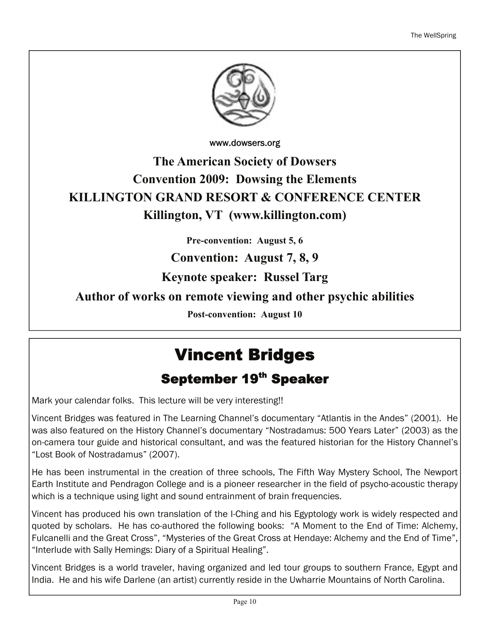

www.dowsers.org

# **The American Society of Dowsers Convention 2009: Dowsing the Elements KILLINGTON GRAND RESORT & CONFERENCE CENTER Killington, VT (www.killington.com)**

**Pre-convention: August 5, 6** 

## **Convention: August 7, 8, 9**

**Keynote speaker: Russel Targ** 

## **Author of works on remote viewing and other psychic abilities**

**Post-convention: August 10**

# Vincent Bridges

# September 19<sup>th</sup> Speaker

Mark your calendar folks. This lecture will be very interesting!!

Vincent Bridges was featured in The Learning Channel's documentary "Atlantis in the Andes" (2001). He was also featured on the History Channel's documentary "Nostradamus: 500 Years Later" (2003) as the on-camera tour guide and historical consultant, and was the featured historian for the History Channel's "Lost Book of Nostradamus" (2007).

He has been instrumental in the creation of three schools, The Fifth Way Mystery School, The Newport Earth Institute and Pendragon College and is a pioneer researcher in the field of psycho-acoustic therapy which is a technique using light and sound entrainment of brain frequencies.

Vincent has produced his own translation of the I-Ching and his Egyptology work is widely respected and quoted by scholars. He has co-authored the following books: "A Moment to the End of Time: Alchemy, Fulcanelli and the Great Cross", "Mysteries of the Great Cross at Hendaye: Alchemy and the End of Time", "Interlude with Sally Hemings: Diary of a Spiritual Healing".

Vincent Bridges is a world traveler, having organized and led tour groups to southern France, Egypt and India. He and his wife Darlene (an artist) currently reside in the Uwharrie Mountains of North Carolina.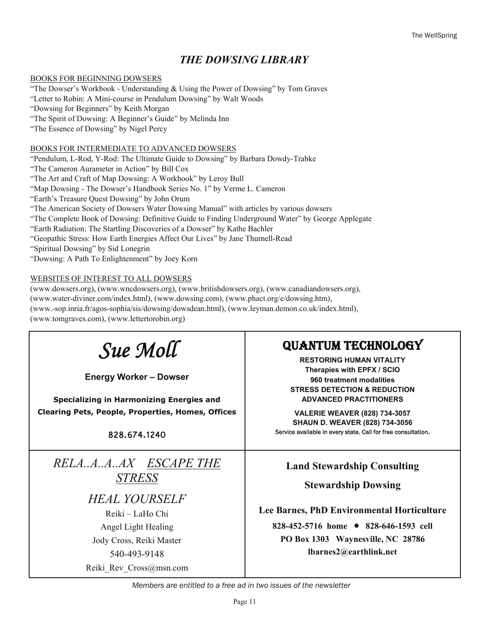## *THE DOWSING LIBRARY*

#### BOOKS FOR BEGINNING DOWSERS

"The Dowser's Workbook - Understanding & Using the Power of Dowsing" by Tom Graves "Letter to Robin: A Mini-course in Pendulum Dowsing" by Walt Woods "Dowsing for Beginners" by Keith Morgan "The Spirit of Dowsing: A Beginner's Guide" by Melinda Inn "The Essence of Dowsing" by Nigel Percy

#### BOOKS FOR INTERMEDIATE TO ADVANCED DOWSERS

"Pendulum, L-Rod, Y-Rod: The Ultimate Guide to Dowsing" by Barbara Dowdy-Trabke "The Cameron Aurameter in Action" by Bill Cox "The Art and Craft of Map Dowsing: A Workbook" by Leroy Bull "Map Dowsing - The Dowser's Handbook Series No. 1" by Verme L. Cameron "Earth's Treasure Quest Dowsing" by John Orum "The American Society of Dowsers Water Dowsing Manual" with articles by various dowsers "The Complete Book of Dowsing: Definitive Guide to Finding Underground Water" by George Applegate "Earth Radiation: The Startling Discoveries of a Dowser" by Kathe Bachler "Geopathic Stress: How Earth Energies Affect Our Lives" by Jane Thurnell-Read "Spiritual Dowsing" by Sid Lonegrin "Dowsing: A Path To Enlightenment" by Joey Korn

#### WEBSITES OF INTEREST TO ALL DOWSERS

(www.dowsers.org), (www.wncdowsers.org), (www.britishdowsers.org), (www.canadiandowsers.org), (www.water-diviner.com/index.html), (www.dowsing.com), (www.phact.org/e/dowsing.htm), (www.-sop.inria.fr/agos-sophia/sis/dowsing/dowsdean.html), (www.leyman.demon.co.uk/index.html), (www.tomgraves.com), (www.lettertorobin.org)

| Sue Moll<br><b>Energy Worker - Dowser</b><br><b>Specializing in Harmonizing Energies and</b><br><b>Clearing Pets, People, Properties, Homes, Offices</b><br>828.674.1240       | <b>QUANTUM TECHNOLOGY</b><br><b>RESTORING HUMAN VITALITY</b><br>Therapies with EPFX / SCIO<br>960 treatment modalities<br><b>STRESS DETECTION &amp; REDUCTION</b><br><b>ADVANCED PRACTITIONERS</b><br><b>VALERIE WEAVER (828) 734-3057</b><br><b>SHAUN D. WEAVER (828) 734-3056</b><br>Service available in every state. Call for free consultation. |
|--------------------------------------------------------------------------------------------------------------------------------------------------------------------------------|------------------------------------------------------------------------------------------------------------------------------------------------------------------------------------------------------------------------------------------------------------------------------------------------------------------------------------------------------|
| RELAAAAX ESCAPE THE<br><b>STRESS</b><br><b>HEAL YOURSELF</b><br>Reiki – LaHo Chi<br>Angel Light Healing<br>Jody Cross, Reiki Master<br>540-493-9148<br>Reiki Rev Cross@msn.com | <b>Land Stewardship Consulting</b><br><b>Stewardship Dowsing</b><br>Lee Barnes, PhD Environmental Horticulture<br>828-452-5716 home • 828-646-1593 cell<br>PO Box 1303 Waynesville, NC 28786<br>lbarnes2@earthlink.net                                                                                                                               |

*Members are entitled to a free ad in two issues of the newsletter*